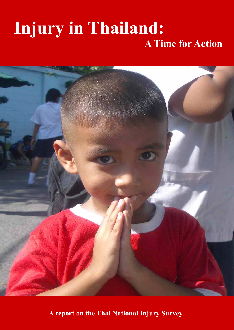# **Injury in Thailand: A Time for Action**



**A report on the Thai National Injury Survey**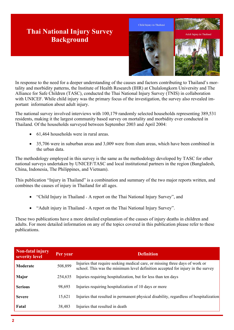# **Thai National Injury Survey Background**



In response to the need for a deeper understanding of the causes and factors contributing to Thailand's mortality and morbidity patterns, the Institute of Health Research (IHR) at Chulalongkorn University and The Alliance for Safe Children (TASC), conducted the Thai National Injury Survey (TNIS) in collaboration with UNICEF. While child injury was the primary focus of the investigation, the survey also revealed important information about adult injury.

The national survey involved interviews with 100,179 randomly selected households representing 389,531 residents, making it the largest community based survey on mortality and morbidity ever conducted in Thailand. Of the households surveyed between September 2003 and April 2004:

- $\bullet$  61,464 households were in rural areas.
- $\bullet$  35,706 were in suburban areas and 3,009 were from slum areas, which have been combined in the urban data.

The methodology employed in this survey is the same as the methodology developed by TASC for other national surveys undertaken by UNICEF/TASC and local institutional partners in the region (Bangladesh, China, Indonesia, The Philippines, and Vietnam).

This publication "Injury in Thailand" is a combination and summary of the two major reports written, and combines the causes of injury in Thailand for all ages.

- x "Child Injury in Thailand A report on the Thai National Injury Survey", and
- "Adult injury in Thailand A report on the Thai National Injury Survey".

These two publications have a more detailed explanation of the causes of injury deaths in children and adults. For more detailed information on any of the topics covered in this publication please refer to these publications.

| Non-fatal injury<br>severity level | Per year | <b>Definition</b>                                                                                                                                               |
|------------------------------------|----------|-----------------------------------------------------------------------------------------------------------------------------------------------------------------|
| <b>Moderate</b>                    | 508,899  | Injuries that require seeking medical care, or missing three days of work or<br>school. This was the minimum level definition accepted for injury in the survey |
| Major                              | 254,635  | Injuries requiring hospitalization, but for less than ten days                                                                                                  |
| <b>Serious</b>                     | 98,693   | Injuries requiring hospitalization of 10 days or more                                                                                                           |
| <b>Severe</b>                      | 15,621   | Injuries that resulted in permanent physical disability, regardless of hospitalization                                                                          |
| Fatal                              | 38,483   | Injuries that resulted in death                                                                                                                                 |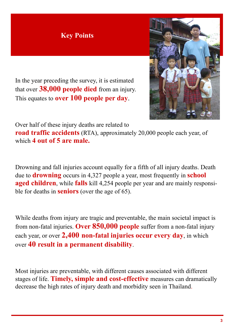# **Key Points**



In the year preceding the survey, it is estimated that over **38,000 people died** from an injury. This equates to **over 100 people per day**.

Over half of these injury deaths are related to

**road traffic accidents** (RTA), approximately 20,000 people each year, of which **4 out of 5 are male.**

Drowning and fall injuries account equally for a fifth of all injury deaths. Death due to **drowning** occurs in 4,327 people a year, most frequently in **school aged children**, while **falls** kill 4,254 people per year and are mainly responsible for deaths in **seniors** (over the age of 65).

While deaths from injury are tragic and preventable, the main societal impact is from non-fatal injuries. **Over 850,000 people** suffer from a non-fatal injury each year, or over **2,400 non-fatal injuries occur every day**, in which over **40 result in a permanent disability**.

Most injuries are preventable, with different causes associated with different stages of life. **Timely, simple and cost-effective** measures can dramatically decrease the high rates of injury death and morbidity seen in Thailand.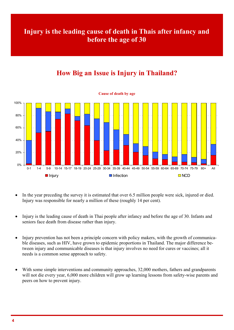# **Injury is the leading cause of death in Thais after infancy and before the age of 30**

# **How Big an Issue is Injury in Thailand?**



- In the year preceding the survey it is estimated that over 6.5 million people were sick, injured or died. Injury was responsible for nearly a million of these (roughly 14 per cent).
- Injury is the leading cause of death in Thai people after infancy and before the age of 30. Infants and seniors face death from disease rather than injury.
- Injury prevention has not been a principle concern with policy makers, with the growth of communicable diseases, such as HIV, have grown to epidemic proportions in Thailand. The major difference between injury and communicable diseases is that injury involves no need for cures or vaccines; all it needs is a common sense approach to safety.
- With some simple interventions and community approaches, 32,000 mothers, fathers and grandparents will not die every year, 6,000 more children will grow up learning lessons from safety-wise parents and peers on how to prevent injury.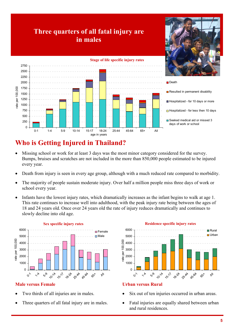

# **Who is Getting Injured in Thailand?**

- Missing school or work for at least 3 days was the most minor category considered for the survey. Bumps, bruises and scratches are not included in the more than 850,000 people estimated to be injured every year.
- Death from injury is seen in every age group, although with a much reduced rate compared to morbidity.
- The majority of people sustain moderate injury. Over half a million people miss three days of work or school every year.
- Infants have the lowest injury rates, which dramatically increases as the infant begins to walk at age 1. This rate continues to increase well into adulthood, with the peak injury rate being between the ages of 18 and 24 years old. Once over 24 years old the rate of injury reduces dramatically and continues to slowly decline into old age.



#### **Sex specific injury rates**

#### **Male versus Female**

- Two thirds of all injuries are in males.
- Three quarters of all fatal injury are in males.



#### **Urban versus Rural**

- Six out of ten injuries occurred in urban areas.
- Fatal injuries are equally shared between urban and rural residences.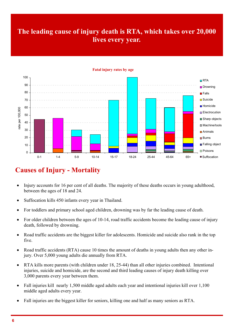# **The leading cause of injury death is RTA, which takes over 20,000 lives every year.**



#### **Fatal injury rates by age**

## **Causes of Injury - Mortality**

- Injury accounts for 16 per cent of all deaths. The majority of these deaths occurs in young adulthood, between the ages of 18 and 24.
- Suffocation kills 450 infants every year in Thailand.
- For toddlers and primary school aged children, drowning was by far the leading cause of death.
- For older children between the ages of 10-14, road traffic accidents become the leading cause of injury death, followed by drowning.
- Road traffic accidents are the biggest killer for adolescents. Homicide and suicide also rank in the top five.
- Road traffic accidents (RTA) cause 10 times the amount of deaths in young adults then any other injury. Over 5,000 young adults die annually from RTA.
- RTA kills more parents (with children under 18, 25-44) than all other injuries combined. Intentional injuries, suicide and homicide, are the second and third leading causes of injury death killing over 3,000 parents every year between them.
- Fall injuries kill nearly 1,500 middle aged adults each year and intentional injuries kill over 1,100 middle aged adults every year.
- Fall injuries are the biggest killer for seniors, killing one and half as many seniors as RTA.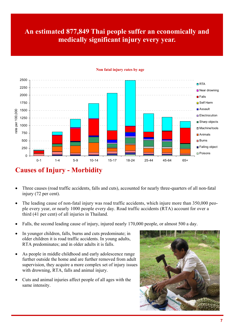# **An estimated 877,849 Thai people suffer an economically and medically significant injury every year.**



#### **Non fatal injury rates by age**

## **Causes of Injury - Morbidity**

- Three causes (road traffic accidents, falls and cuts), accounted for nearly three-quarters of all non-fatal injury (72 per cent).
- The leading cause of non-fatal injury was road traffic accidents, which injure more than 350,000 people every year, or nearly 1000 people every day. Road traffic accidents (RTA) account for over a third (41 per cent) of all injuries in Thailand.
- Falls, the second leading cause of injury, injured nearly 170,000 people, or almost 500 a day.
- In younger children, falls, burns and cuts predominate; in older children it is road traffic accidents. In young adults, RTA predominates; and in older adults it is falls.
- As people in middle childhood and early adolescence range further outside the home and are further removed from adult supervision, they acquire a more complex set of injury issues with drowning, RTA, falls and animal injury.
- Cuts and animal injuries affect people of all ages with the same intensity.

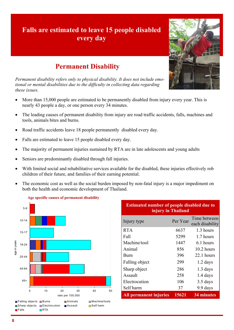# **Falls are estimated to leave 15 people disabled every day**



*Permanent disability refers only to physical disability. It does not include emotional or mental disabilities due to the difficulty in collecting data regarding these issues.* 

- More than 15,000 people are estimated to be permanently disabled from injury every year. This is nearly 43 people a day, or one person every 34 minutes.
- The leading causes of permanent disability from injury are road traffic accidents, falls, machines and tools, animals bites and burns.
- Road traffic accidents leave 18 people permanently disabled every day.
- Falls are estimated to leave 15 people disabled every day.
- The majority of permanent injuries sustained by RTA are in late adolescents and young adults
- Seniors are predominantly disabled through fall injuries.
- With limited social and rehabilitative services available for the disabled, these injuries effectively rob children of their future, and families of their earning potential.
- The economic cost as well as the social burden imposed by non-fatal injury is a major impediment on both the health and economic development of Thailand.



| <b>Estimated number of people disabled due to</b><br>injury in Thailand |          |                                 |  |  |  |
|-------------------------------------------------------------------------|----------|---------------------------------|--|--|--|
| Injury type                                                             | Per Year | Time between<br>each disability |  |  |  |
| <b>RTA</b>                                                              | 6637     | 1.3 hours                       |  |  |  |
| Fall                                                                    | 5299     | 1.7 hours                       |  |  |  |
| Machine/tool                                                            | 1447     | 6.1 hours                       |  |  |  |
| Animal                                                                  | 856      | $10.2$ hours                    |  |  |  |
| <b>Burn</b>                                                             | 396      | $22.1$ hours                    |  |  |  |
| Falling object                                                          | 299      | $1.2$ days                      |  |  |  |
| Sharp object                                                            | 286      | $1.3$ days                      |  |  |  |
| Assault                                                                 | 258      | $1.4$ days                      |  |  |  |
| Electrocution                                                           | 106      | 3.5 days                        |  |  |  |
| Self harm                                                               | 37       | 9.9 days                        |  |  |  |
| All permanent injuries                                                  | 15621    | 34 minutes                      |  |  |  |

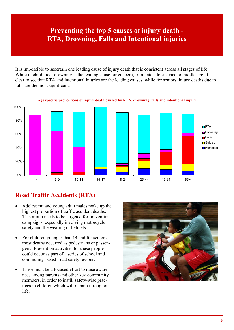# **Preventing the top 5 causes of injury death - RTA, Drowning, Falls and Intentional injuries**

It is impossible to ascertain one leading cause of injury death that is consistent across all stages of life. While in childhood, drowning is the leading cause for concern, from late adolescence to middle age, it is clear to see that RTA and intentional injuries are the leading causes, while for seniors, injury deaths due to falls are the most significant.



#### **Age specific proportions of injury death caused by RTA, drowning, falls and intentional injury**

### **Road Traffic Accidents (RTA)**

- x Adolescent and young adult males make up the highest proportion of traffic accident deaths. This group needs to be targeted for prevention campaigns, especially involving motorcycle safety and the wearing of helmets.
- For children younger than 14 and for seniors, most deaths occurred as pedestrians or passengers. Prevention activities for these people could occur as part of a series of school and community-based road safety lessons.
- There must be a focused effort to raise awareness among parents and other key community members, in order to instill safety-wise practices in children which will remain throughout life.

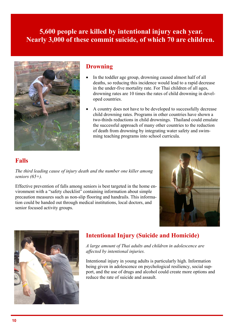## **5,600 people are killed by intentional injury each year. Nearly 3,000 of these commit suicide, of which 70 are children.**



#### **Drowning**

- In the toddler age group, drowning caused almost half of all deaths, so reducing this incidence would lead to a rapid decrease in the under-five mortality rate. For Thai children of all ages, drowning rates are 10 times the rates of child drowning in developed countries.
- A country does not have to be developed to successfully decrease child drowning rates. Programs in other countries have shown a two-thirds reductions in child drownings. Thailand could emulate the successful approach of many other countries to the reduction of death from drowning by integrating water safety and swimming teaching programs into school curricula.

### **Falls**

*The third leading cause of injury death and the number one killer among seniors (65+).* 

Effective prevention of falls among seniors is best targeted in the home environment with a "safety checklist" containing information about simple precaution measures such as non-slip flooring and handrails. This information could be handed out through medical institutions, local doctors, and senior focused activity groups.





## **Intentional Injury (Suicide and Homicide)**

*A large amount of Thai adults and children in adolescence are affected by intentional injuries.* 

Intentional injury in young adults is particularly high. Information being given in adolescence on psychological resiliency, social support, and the use of drugs and alcohol could create more options and reduce the rate of suicide and assault.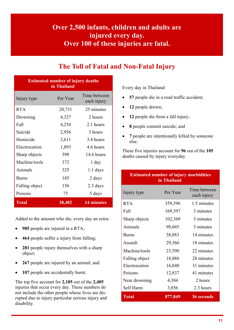# **Over 2,500 infants, children and adults are injured every day. Over 100 of these injuries are fatal.**

## **The Toll of Fatal and Non-Fatal Injury**

| <b>Estimated number of injury deaths</b><br>in Thailand |          |                             |  |  |  |  |
|---------------------------------------------------------|----------|-----------------------------|--|--|--|--|
| Injury type                                             | Per Year | Time between<br>each injury |  |  |  |  |
| <b>RTA</b>                                              | 20,731   | 25 minutes                  |  |  |  |  |
| Drowning                                                | 4,327    | 2 hours                     |  |  |  |  |
| Fall                                                    | 4,254    | 2.1 hours                   |  |  |  |  |
| Suicide                                                 | 2,956    | 3 hours                     |  |  |  |  |
| Homicide                                                | 2,611    | 3.4 hours                   |  |  |  |  |
| Electrocution                                           | 1,893    | 4.6 hours                   |  |  |  |  |
| Sharp objects                                           | 598      | 14.6 hours                  |  |  |  |  |
| Machine/tools                                           | 372      | 1 day                       |  |  |  |  |
| Animals                                                 | 325      | $1.1$ days                  |  |  |  |  |
| <b>Burns</b>                                            | 185      | 2 days                      |  |  |  |  |
| Falling object                                          | 156      | 2.3 days                    |  |  |  |  |
| Poisons                                                 | 75       | 5 days                      |  |  |  |  |
| <b>Total</b>                                            | 38,482   | 14 minutes                  |  |  |  |  |

Added to the amount who die, every day an extra:

- **985** people are injured in a RTA;
- **464** people suffer a injury from falling;
- 281 people injury themselves with a sharp object;
- 267 people are injured by an animal; and
- 107 people are accidentally burnt.

The top five account for **2,105** out of the **2,405**  injuries that occur every day. These numbers do not include the other people whose lives are disrupted due to injury particular serious injury and disability.

Every day in Thailand:

- 57 people die in a road traffic accident;
- 12 people drown;
- 12 people die from a fall injury;
- **8** people commit suicide; and
- 7 people are intentionally killed by someone else.

These five injuries account for **96** out of the **105**  deaths caused by injury everyday.

| <b>Estimated number of injury morbidities</b><br>in Thailand |          |                             |  |  |  |  |
|--------------------------------------------------------------|----------|-----------------------------|--|--|--|--|
| Injury type                                                  | Per Year | Time between<br>each injury |  |  |  |  |
| <b>RTA</b>                                                   | 359,396  | 1.5 minutes                 |  |  |  |  |
| Fall                                                         | 169,397  | 3 minutes                   |  |  |  |  |
| Sharp objects                                                | 102,369  | 5 minutes                   |  |  |  |  |
| Animals                                                      | 98,045   | 5 minutes                   |  |  |  |  |
| <b>Burns</b>                                                 | 38,883   | 14 minutes                  |  |  |  |  |
| Assault                                                      | 29,366   | 18 minutes                  |  |  |  |  |
| Machine/tools                                                | 23,590   | 22 minutes                  |  |  |  |  |
| Falling object                                               | 18,886   | 28 minutes                  |  |  |  |  |
| Electrocution                                                | 16,840   | 31 minutes                  |  |  |  |  |
| Poisons                                                      | 12,837   | 41 minutes                  |  |  |  |  |
| Near drowning                                                | 4,384    | 2 hours                     |  |  |  |  |
| Self Harm                                                    | 3,856    | 2.3 hours                   |  |  |  |  |
| <b>Total</b>                                                 | 877,849  | <b>36 seconds</b>           |  |  |  |  |